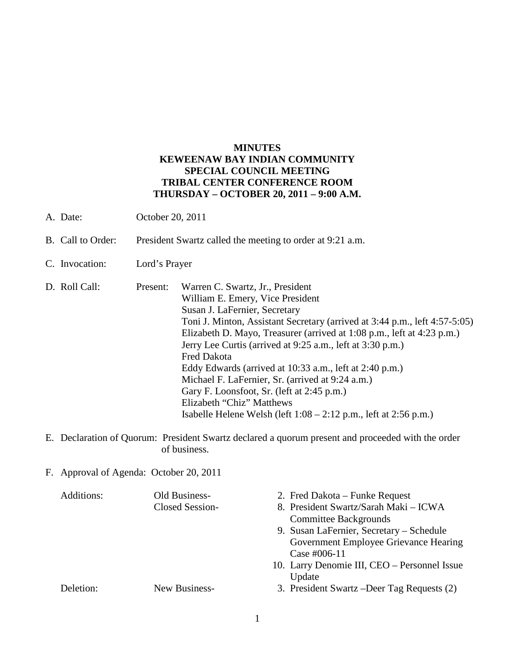### **MINUTES KEWEENAW BAY INDIAN COMMUNITY SPECIAL COUNCIL MEETING TRIBAL CENTER CONFERENCE ROOM THURSDAY – OCTOBER 20, 2011 – 9:00 A.M.**

- A. Date: October 20, 2011
- B. Call to Order: President Swartz called the meeting to order at 9:21 a.m.
- C. Invocation: Lord's Prayer
- D. Roll Call: Present: Warren C. Swartz, Jr., President William E. Emery, Vice President Susan J. LaFernier, Secretary Toni J. Minton, Assistant Secretary (arrived at 3:44 p.m., left 4:57-5:05) Elizabeth D. Mayo, Treasurer (arrived at 1:08 p.m., left at 4:23 p.m.) Jerry Lee Curtis (arrived at 9:25 a.m., left at 3:30 p.m.) Fred Dakota Eddy Edwards (arrived at 10:33 a.m., left at 2:40 p.m.) Michael F. LaFernier, Sr. (arrived at 9:24 a.m.) Gary F. Loonsfoot, Sr. (left at 2:45 p.m.) Elizabeth "Chiz" Matthews Isabelle Helene Welsh (left 1:08 – 2:12 p.m., left at 2:56 p.m.)
- E. Declaration of Quorum: President Swartz declared a quorum present and proceeded with the order of business.
- F. Approval of Agenda: October 20, 2011

| Additions: | Old Business-<br>Closed Session- | 2. Fred Dakota – Funke Request<br>8. President Swartz/Sarah Maki - ICWA |
|------------|----------------------------------|-------------------------------------------------------------------------|
|            |                                  | <b>Committee Backgrounds</b>                                            |
|            |                                  | 9. Susan LaFernier, Secretary – Schedule                                |
|            |                                  | Government Employee Grievance Hearing                                   |
|            |                                  | Case #006-11                                                            |
|            |                                  | 10. Larry Denomie III, CEO – Personnel Issue                            |
|            |                                  | Update                                                                  |
| Deletion:  | New Business-                    | 3. President Swartz – Deer Tag Requests (2)                             |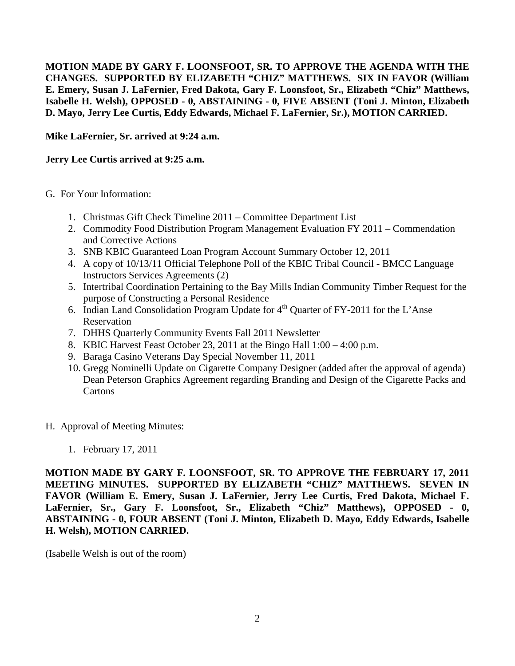**MOTION MADE BY GARY F. LOONSFOOT, SR. TO APPROVE THE AGENDA WITH THE CHANGES. SUPPORTED BY ELIZABETH "CHIZ" MATTHEWS. SIX IN FAVOR (William E. Emery, Susan J. LaFernier, Fred Dakota, Gary F. Loonsfoot, Sr., Elizabeth "Chiz" Matthews, Isabelle H. Welsh), OPPOSED - 0, ABSTAINING - 0, FIVE ABSENT (Toni J. Minton, Elizabeth D. Mayo, Jerry Lee Curtis, Eddy Edwards, Michael F. LaFernier, Sr.), MOTION CARRIED.**

**Mike LaFernier, Sr. arrived at 9:24 a.m.** 

## **Jerry Lee Curtis arrived at 9:25 a.m.**

- G. For Your Information:
	- 1. Christmas Gift Check Timeline 2011 Committee Department List
	- 2. Commodity Food Distribution Program Management Evaluation FY 2011 Commendation and Corrective Actions
	- 3. SNB KBIC Guaranteed Loan Program Account Summary October 12, 2011
	- 4. A copy of 10/13/11 Official Telephone Poll of the KBIC Tribal Council BMCC Language Instructors Services Agreements (2)
	- 5. Intertribal Coordination Pertaining to the Bay Mills Indian Community Timber Request for the purpose of Constructing a Personal Residence
	- 6. Indian Land Consolidation Program Update for  $4<sup>th</sup>$  Quarter of FY-2011 for the L'Anse Reservation
	- 7. DHHS Quarterly Community Events Fall 2011 Newsletter
	- 8. KBIC Harvest Feast October 23, 2011 at the Bingo Hall 1:00 4:00 p.m.
	- 9. Baraga Casino Veterans Day Special November 11, 2011
	- 10. Gregg Nominelli Update on Cigarette Company Designer (added after the approval of agenda) Dean Peterson Graphics Agreement regarding Branding and Design of the Cigarette Packs and **Cartons**
- H. Approval of Meeting Minutes:
	- 1. February 17, 2011

**MOTION MADE BY GARY F. LOONSFOOT, SR. TO APPROVE THE FEBRUARY 17, 2011 MEETING MINUTES. SUPPORTED BY ELIZABETH "CHIZ" MATTHEWS. SEVEN IN FAVOR (William E. Emery, Susan J. LaFernier, Jerry Lee Curtis, Fred Dakota, Michael F. LaFernier, Sr., Gary F. Loonsfoot, Sr., Elizabeth "Chiz" Matthews), OPPOSED - 0, ABSTAINING - 0, FOUR ABSENT (Toni J. Minton, Elizabeth D. Mayo, Eddy Edwards, Isabelle H. Welsh), MOTION CARRIED.**

(Isabelle Welsh is out of the room)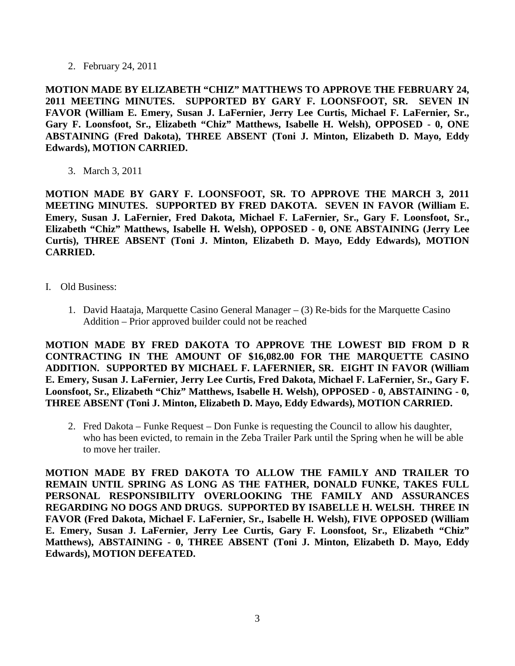2. February 24, 2011

**MOTION MADE BY ELIZABETH "CHIZ" MATTHEWS TO APPROVE THE FEBRUARY 24, 2011 MEETING MINUTES. SUPPORTED BY GARY F. LOONSFOOT, SR. SEVEN IN FAVOR (William E. Emery, Susan J. LaFernier, Jerry Lee Curtis, Michael F. LaFernier, Sr., Gary F. Loonsfoot, Sr., Elizabeth "Chiz" Matthews, Isabelle H. Welsh), OPPOSED - 0, ONE ABSTAINING (Fred Dakota), THREE ABSENT (Toni J. Minton, Elizabeth D. Mayo, Eddy Edwards), MOTION CARRIED.**

3. March 3, 2011

**MOTION MADE BY GARY F. LOONSFOOT, SR. TO APPROVE THE MARCH 3, 2011 MEETING MINUTES. SUPPORTED BY FRED DAKOTA. SEVEN IN FAVOR (William E. Emery, Susan J. LaFernier, Fred Dakota, Michael F. LaFernier, Sr., Gary F. Loonsfoot, Sr., Elizabeth "Chiz" Matthews, Isabelle H. Welsh), OPPOSED - 0, ONE ABSTAINING (Jerry Lee Curtis), THREE ABSENT (Toni J. Minton, Elizabeth D. Mayo, Eddy Edwards), MOTION CARRIED.**

- I. Old Business:
	- 1. David Haataja, Marquette Casino General Manager (3) Re-bids for the Marquette Casino Addition – Prior approved builder could not be reached

**MOTION MADE BY FRED DAKOTA TO APPROVE THE LOWEST BID FROM D R CONTRACTING IN THE AMOUNT OF \$16,082.00 FOR THE MARQUETTE CASINO ADDITION. SUPPORTED BY MICHAEL F. LAFERNIER, SR. EIGHT IN FAVOR (William E. Emery, Susan J. LaFernier, Jerry Lee Curtis, Fred Dakota, Michael F. LaFernier, Sr., Gary F. Loonsfoot, Sr., Elizabeth "Chiz" Matthews, Isabelle H. Welsh), OPPOSED - 0, ABSTAINING - 0, THREE ABSENT (Toni J. Minton, Elizabeth D. Mayo, Eddy Edwards), MOTION CARRIED.**

2. Fred Dakota – Funke Request – Don Funke is requesting the Council to allow his daughter, who has been evicted, to remain in the Zeba Trailer Park until the Spring when he will be able to move her trailer.

**MOTION MADE BY FRED DAKOTA TO ALLOW THE FAMILY AND TRAILER TO REMAIN UNTIL SPRING AS LONG AS THE FATHER, DONALD FUNKE, TAKES FULL PERSONAL RESPONSIBILITY OVERLOOKING THE FAMILY AND ASSURANCES REGARDING NO DOGS AND DRUGS. SUPPORTED BY ISABELLE H. WELSH. THREE IN FAVOR (Fred Dakota, Michael F. LaFernier, Sr., Isabelle H. Welsh), FIVE OPPOSED (William E. Emery, Susan J. LaFernier, Jerry Lee Curtis, Gary F. Loonsfoot, Sr., Elizabeth "Chiz" Matthews), ABSTAINING - 0, THREE ABSENT (Toni J. Minton, Elizabeth D. Mayo, Eddy Edwards), MOTION DEFEATED.**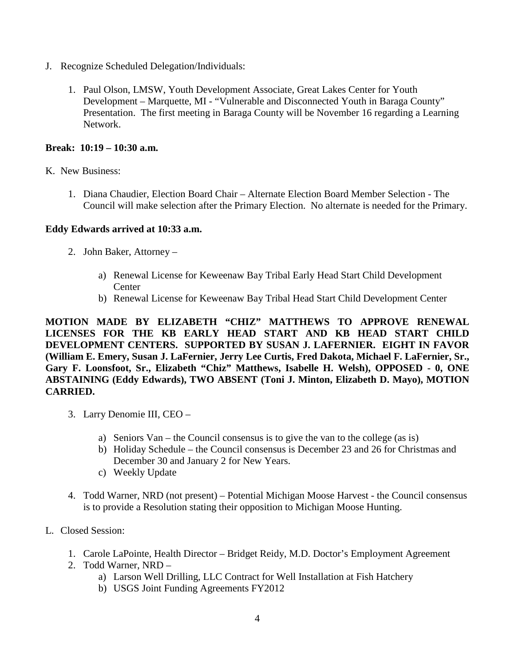- J. Recognize Scheduled Delegation/Individuals:
	- 1. Paul Olson, LMSW, Youth Development Associate, Great Lakes Center for Youth Development – Marquette, MI - "Vulnerable and Disconnected Youth in Baraga County" Presentation. The first meeting in Baraga County will be November 16 regarding a Learning Network.

#### **Break: 10:19 – 10:30 a.m.**

- K. New Business:
	- 1. Diana Chaudier, Election Board Chair Alternate Election Board Member Selection The Council will make selection after the Primary Election. No alternate is needed for the Primary.

### **Eddy Edwards arrived at 10:33 a.m.**

- 2. John Baker, Attorney
	- a) Renewal License for Keweenaw Bay Tribal Early Head Start Child Development **Center**
	- b) Renewal License for Keweenaw Bay Tribal Head Start Child Development Center

**MOTION MADE BY ELIZABETH "CHIZ" MATTHEWS TO APPROVE RENEWAL LICENSES FOR THE KB EARLY HEAD START AND KB HEAD START CHILD DEVELOPMENT CENTERS. SUPPORTED BY SUSAN J. LAFERNIER. EIGHT IN FAVOR (William E. Emery, Susan J. LaFernier, Jerry Lee Curtis, Fred Dakota, Michael F. LaFernier, Sr., Gary F. Loonsfoot, Sr., Elizabeth "Chiz" Matthews, Isabelle H. Welsh), OPPOSED - 0, ONE ABSTAINING (Eddy Edwards), TWO ABSENT (Toni J. Minton, Elizabeth D. Mayo), MOTION CARRIED.**

- 3. Larry Denomie III, CEO
	- a) Seniors Van the Council consensus is to give the van to the college (as is)
	- b) Holiday Schedule the Council consensus is December 23 and 26 for Christmas and December 30 and January 2 for New Years.
	- c) Weekly Update
- 4. Todd Warner, NRD (not present) Potential Michigan Moose Harvest the Council consensus is to provide a Resolution stating their opposition to Michigan Moose Hunting.
- L. Closed Session:
	- 1. Carole LaPointe, Health Director Bridget Reidy, M.D. Doctor's Employment Agreement
	- 2. Todd Warner, NRD
		- a) Larson Well Drilling, LLC Contract for Well Installation at Fish Hatchery
		- b) USGS Joint Funding Agreements FY2012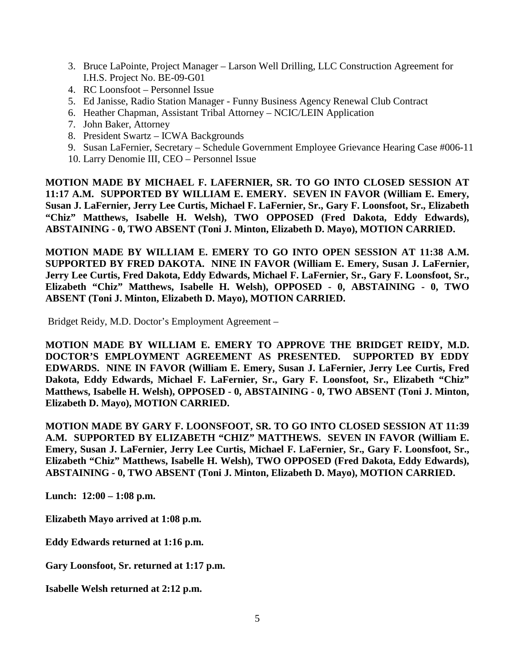- 3. Bruce LaPointe, Project Manager Larson Well Drilling, LLC Construction Agreement for I.H.S. Project No. BE-09-G01
- 4. RC Loonsfoot Personnel Issue
- 5. Ed Janisse, Radio Station Manager Funny Business Agency Renewal Club Contract
- 6. Heather Chapman, Assistant Tribal Attorney NCIC/LEIN Application
- 7. John Baker, Attorney
- 8. President Swartz ICWA Backgrounds
- 9. Susan LaFernier, Secretary Schedule Government Employee Grievance Hearing Case #006-11
- 10. Larry Denomie III, CEO Personnel Issue

**MOTION MADE BY MICHAEL F. LAFERNIER, SR. TO GO INTO CLOSED SESSION AT 11:17 A.M. SUPPORTED BY WILLIAM E. EMERY. SEVEN IN FAVOR (William E. Emery, Susan J. LaFernier, Jerry Lee Curtis, Michael F. LaFernier, Sr., Gary F. Loonsfoot, Sr., Elizabeth "Chiz" Matthews, Isabelle H. Welsh), TWO OPPOSED (Fred Dakota, Eddy Edwards), ABSTAINING - 0, TWO ABSENT (Toni J. Minton, Elizabeth D. Mayo), MOTION CARRIED.**

**MOTION MADE BY WILLIAM E. EMERY TO GO INTO OPEN SESSION AT 11:38 A.M. SUPPORTED BY FRED DAKOTA. NINE IN FAVOR (William E. Emery, Susan J. LaFernier, Jerry Lee Curtis, Fred Dakota, Eddy Edwards, Michael F. LaFernier, Sr., Gary F. Loonsfoot, Sr., Elizabeth "Chiz" Matthews, Isabelle H. Welsh), OPPOSED - 0, ABSTAINING - 0, TWO ABSENT (Toni J. Minton, Elizabeth D. Mayo), MOTION CARRIED.**

Bridget Reidy, M.D. Doctor's Employment Agreement –

**MOTION MADE BY WILLIAM E. EMERY TO APPROVE THE BRIDGET REIDY, M.D. DOCTOR'S EMPLOYMENT AGREEMENT AS PRESENTED. SUPPORTED BY EDDY EDWARDS. NINE IN FAVOR (William E. Emery, Susan J. LaFernier, Jerry Lee Curtis, Fred Dakota, Eddy Edwards, Michael F. LaFernier, Sr., Gary F. Loonsfoot, Sr., Elizabeth "Chiz" Matthews, Isabelle H. Welsh), OPPOSED - 0, ABSTAINING - 0, TWO ABSENT (Toni J. Minton, Elizabeth D. Mayo), MOTION CARRIED.**

**MOTION MADE BY GARY F. LOONSFOOT, SR. TO GO INTO CLOSED SESSION AT 11:39 A.M. SUPPORTED BY ELIZABETH "CHIZ" MATTHEWS. SEVEN IN FAVOR (William E. Emery, Susan J. LaFernier, Jerry Lee Curtis, Michael F. LaFernier, Sr., Gary F. Loonsfoot, Sr., Elizabeth "Chiz" Matthews, Isabelle H. Welsh), TWO OPPOSED (Fred Dakota, Eddy Edwards), ABSTAINING - 0, TWO ABSENT (Toni J. Minton, Elizabeth D. Mayo), MOTION CARRIED.**

**Lunch: 12:00 – 1:08 p.m.** 

**Elizabeth Mayo arrived at 1:08 p.m.**

**Eddy Edwards returned at 1:16 p.m.** 

**Gary Loonsfoot, Sr. returned at 1:17 p.m.** 

**Isabelle Welsh returned at 2:12 p.m.**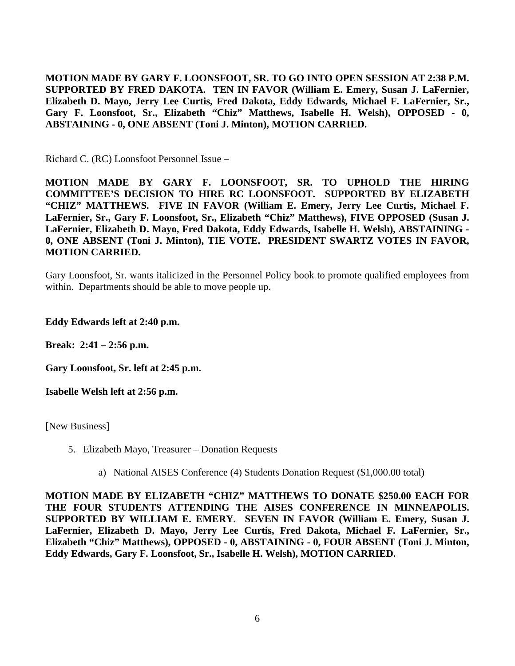**MOTION MADE BY GARY F. LOONSFOOT, SR. TO GO INTO OPEN SESSION AT 2:38 P.M. SUPPORTED BY FRED DAKOTA. TEN IN FAVOR (William E. Emery, Susan J. LaFernier, Elizabeth D. Mayo, Jerry Lee Curtis, Fred Dakota, Eddy Edwards, Michael F. LaFernier, Sr., Gary F. Loonsfoot, Sr., Elizabeth "Chiz" Matthews, Isabelle H. Welsh), OPPOSED - 0, ABSTAINING - 0, ONE ABSENT (Toni J. Minton), MOTION CARRIED.** 

Richard C. (RC) Loonsfoot Personnel Issue –

**MOTION MADE BY GARY F. LOONSFOOT, SR. TO UPHOLD THE HIRING COMMITTEE'S DECISION TO HIRE RC LOONSFOOT. SUPPORTED BY ELIZABETH "CHIZ" MATTHEWS. FIVE IN FAVOR (William E. Emery, Jerry Lee Curtis, Michael F. LaFernier, Sr., Gary F. Loonsfoot, Sr., Elizabeth "Chiz" Matthews), FIVE OPPOSED (Susan J. LaFernier, Elizabeth D. Mayo, Fred Dakota, Eddy Edwards, Isabelle H. Welsh), ABSTAINING - 0, ONE ABSENT (Toni J. Minton), TIE VOTE. PRESIDENT SWARTZ VOTES IN FAVOR, MOTION CARRIED.** 

Gary Loonsfoot, Sr. wants italicized in the Personnel Policy book to promote qualified employees from within. Departments should be able to move people up.

#### **Eddy Edwards left at 2:40 p.m.**

**Break: 2:41 – 2:56 p.m.**

**Gary Loonsfoot, Sr. left at 2:45 p.m.**

**Isabelle Welsh left at 2:56 p.m.** 

[New Business]

- 5. Elizabeth Mayo, Treasurer Donation Requests
	- a) National AISES Conference (4) Students Donation Request (\$1,000.00 total)

**MOTION MADE BY ELIZABETH "CHIZ" MATTHEWS TO DONATE \$250.00 EACH FOR THE FOUR STUDENTS ATTENDING THE AISES CONFERENCE IN MINNEAPOLIS. SUPPORTED BY WILLIAM E. EMERY. SEVEN IN FAVOR (William E. Emery, Susan J. LaFernier, Elizabeth D. Mayo, Jerry Lee Curtis, Fred Dakota, Michael F. LaFernier, Sr., Elizabeth "Chiz" Matthews), OPPOSED - 0, ABSTAINING - 0, FOUR ABSENT (Toni J. Minton, Eddy Edwards, Gary F. Loonsfoot, Sr., Isabelle H. Welsh), MOTION CARRIED.**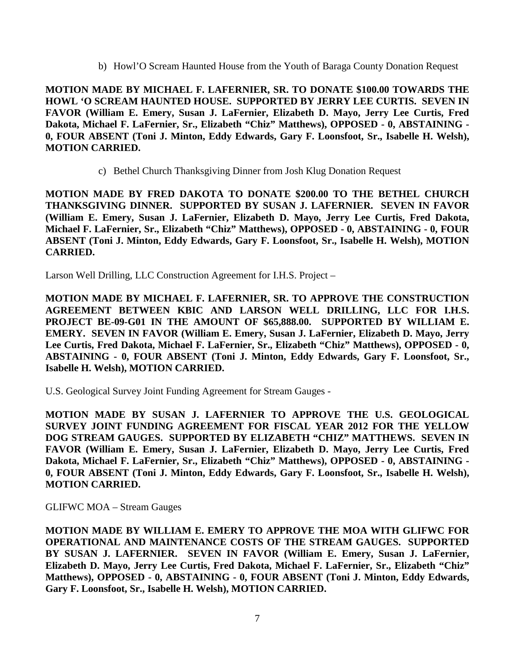b) Howl'O Scream Haunted House from the Youth of Baraga County Donation Request

**MOTION MADE BY MICHAEL F. LAFERNIER, SR. TO DONATE \$100.00 TOWARDS THE HOWL 'O SCREAM HAUNTED HOUSE. SUPPORTED BY JERRY LEE CURTIS. SEVEN IN FAVOR (William E. Emery, Susan J. LaFernier, Elizabeth D. Mayo, Jerry Lee Curtis, Fred Dakota, Michael F. LaFernier, Sr., Elizabeth "Chiz" Matthews), OPPOSED - 0, ABSTAINING - 0, FOUR ABSENT (Toni J. Minton, Eddy Edwards, Gary F. Loonsfoot, Sr., Isabelle H. Welsh), MOTION CARRIED.**

c) Bethel Church Thanksgiving Dinner from Josh Klug Donation Request

**MOTION MADE BY FRED DAKOTA TO DONATE \$200.00 TO THE BETHEL CHURCH THANKSGIVING DINNER. SUPPORTED BY SUSAN J. LAFERNIER. SEVEN IN FAVOR (William E. Emery, Susan J. LaFernier, Elizabeth D. Mayo, Jerry Lee Curtis, Fred Dakota, Michael F. LaFernier, Sr., Elizabeth "Chiz" Matthews), OPPOSED - 0, ABSTAINING - 0, FOUR ABSENT (Toni J. Minton, Eddy Edwards, Gary F. Loonsfoot, Sr., Isabelle H. Welsh), MOTION CARRIED.**

Larson Well Drilling, LLC Construction Agreement for I.H.S. Project –

**MOTION MADE BY MICHAEL F. LAFERNIER, SR. TO APPROVE THE CONSTRUCTION AGREEMENT BETWEEN KBIC AND LARSON WELL DRILLING, LLC FOR I.H.S. PROJECT BE-09-G01 IN THE AMOUNT OF \$65,888.00. SUPPORTED BY WILLIAM E. EMERY. SEVEN IN FAVOR (William E. Emery, Susan J. LaFernier, Elizabeth D. Mayo, Jerry Lee Curtis, Fred Dakota, Michael F. LaFernier, Sr., Elizabeth "Chiz" Matthews), OPPOSED - 0, ABSTAINING - 0, FOUR ABSENT (Toni J. Minton, Eddy Edwards, Gary F. Loonsfoot, Sr., Isabelle H. Welsh), MOTION CARRIED.**

U.S. Geological Survey Joint Funding Agreement for Stream Gauges -

**MOTION MADE BY SUSAN J. LAFERNIER TO APPROVE THE U.S. GEOLOGICAL SURVEY JOINT FUNDING AGREEMENT FOR FISCAL YEAR 2012 FOR THE YELLOW DOG STREAM GAUGES. SUPPORTED BY ELIZABETH "CHIZ" MATTHEWS. SEVEN IN FAVOR (William E. Emery, Susan J. LaFernier, Elizabeth D. Mayo, Jerry Lee Curtis, Fred Dakota, Michael F. LaFernier, Sr., Elizabeth "Chiz" Matthews), OPPOSED - 0, ABSTAINING - 0, FOUR ABSENT (Toni J. Minton, Eddy Edwards, Gary F. Loonsfoot, Sr., Isabelle H. Welsh), MOTION CARRIED.**

GLIFWC MOA – Stream Gauges

**MOTION MADE BY WILLIAM E. EMERY TO APPROVE THE MOA WITH GLIFWC FOR OPERATIONAL AND MAINTENANCE COSTS OF THE STREAM GAUGES. SUPPORTED BY SUSAN J. LAFERNIER. SEVEN IN FAVOR (William E. Emery, Susan J. LaFernier, Elizabeth D. Mayo, Jerry Lee Curtis, Fred Dakota, Michael F. LaFernier, Sr., Elizabeth "Chiz" Matthews), OPPOSED - 0, ABSTAINING - 0, FOUR ABSENT (Toni J. Minton, Eddy Edwards, Gary F. Loonsfoot, Sr., Isabelle H. Welsh), MOTION CARRIED.**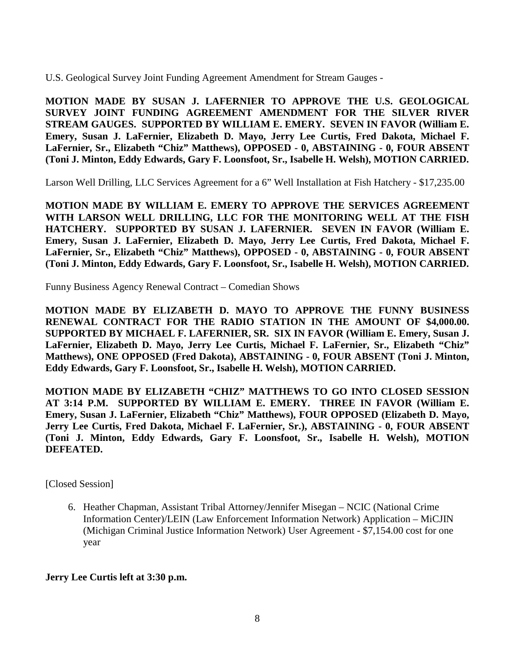U.S. Geological Survey Joint Funding Agreement Amendment for Stream Gauges -

**MOTION MADE BY SUSAN J. LAFERNIER TO APPROVE THE U.S. GEOLOGICAL SURVEY JOINT FUNDING AGREEMENT AMENDMENT FOR THE SILVER RIVER STREAM GAUGES. SUPPORTED BY WILLIAM E. EMERY. SEVEN IN FAVOR (William E. Emery, Susan J. LaFernier, Elizabeth D. Mayo, Jerry Lee Curtis, Fred Dakota, Michael F. LaFernier, Sr., Elizabeth "Chiz" Matthews), OPPOSED - 0, ABSTAINING - 0, FOUR ABSENT (Toni J. Minton, Eddy Edwards, Gary F. Loonsfoot, Sr., Isabelle H. Welsh), MOTION CARRIED.**

Larson Well Drilling, LLC Services Agreement for a 6" Well Installation at Fish Hatchery - \$17,235.00

**MOTION MADE BY WILLIAM E. EMERY TO APPROVE THE SERVICES AGREEMENT WITH LARSON WELL DRILLING, LLC FOR THE MONITORING WELL AT THE FISH HATCHERY. SUPPORTED BY SUSAN J. LAFERNIER. SEVEN IN FAVOR (William E. Emery, Susan J. LaFernier, Elizabeth D. Mayo, Jerry Lee Curtis, Fred Dakota, Michael F. LaFernier, Sr., Elizabeth "Chiz" Matthews), OPPOSED - 0, ABSTAINING - 0, FOUR ABSENT (Toni J. Minton, Eddy Edwards, Gary F. Loonsfoot, Sr., Isabelle H. Welsh), MOTION CARRIED.**

Funny Business Agency Renewal Contract – Comedian Shows

**MOTION MADE BY ELIZABETH D. MAYO TO APPROVE THE FUNNY BUSINESS RENEWAL CONTRACT FOR THE RADIO STATION IN THE AMOUNT OF \$4,000.00. SUPPORTED BY MICHAEL F. LAFERNIER, SR. SIX IN FAVOR (William E. Emery, Susan J. LaFernier, Elizabeth D. Mayo, Jerry Lee Curtis, Michael F. LaFernier, Sr., Elizabeth "Chiz" Matthews), ONE OPPOSED (Fred Dakota), ABSTAINING - 0, FOUR ABSENT (Toni J. Minton, Eddy Edwards, Gary F. Loonsfoot, Sr., Isabelle H. Welsh), MOTION CARRIED.**

**MOTION MADE BY ELIZABETH "CHIZ" MATTHEWS TO GO INTO CLOSED SESSION AT 3:14 P.M. SUPPORTED BY WILLIAM E. EMERY. THREE IN FAVOR (William E. Emery, Susan J. LaFernier, Elizabeth "Chiz" Matthews), FOUR OPPOSED (Elizabeth D. Mayo, Jerry Lee Curtis, Fred Dakota, Michael F. LaFernier, Sr.), ABSTAINING - 0, FOUR ABSENT (Toni J. Minton, Eddy Edwards, Gary F. Loonsfoot, Sr., Isabelle H. Welsh), MOTION DEFEATED.**

[Closed Session]

6. Heather Chapman, Assistant Tribal Attorney/Jennifer Misegan – NCIC (National Crime Information Center)/LEIN (Law Enforcement Information Network) Application – MiCJIN (Michigan Criminal Justice Information Network) User Agreement - \$7,154.00 cost for one year

**Jerry Lee Curtis left at 3:30 p.m.**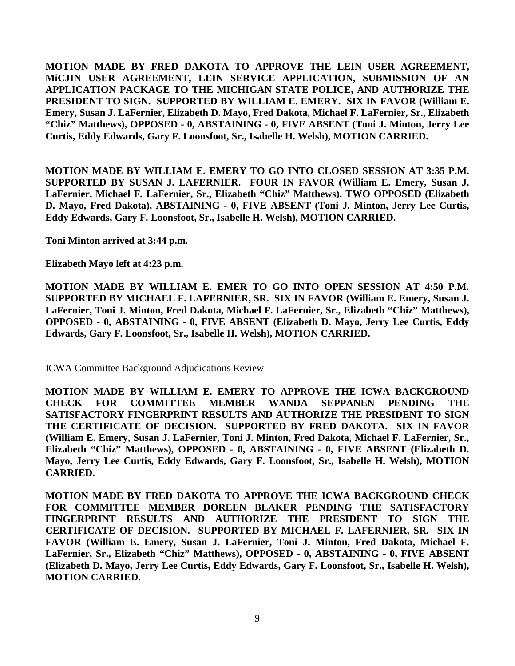**MOTION MADE BY FRED DAKOTA TO APPROVE THE LEIN USER AGREEMENT, MiCJIN USER AGREEMENT, LEIN SERVICE APPLICATION, SUBMISSION OF AN APPLICATION PACKAGE TO THE MICHIGAN STATE POLICE, AND AUTHORIZE THE PRESIDENT TO SIGN. SUPPORTED BY WILLIAM E. EMERY. SIX IN FAVOR (William E. Emery, Susan J. LaFernier, Elizabeth D. Mayo, Fred Dakota, Michael F. LaFernier, Sr., Elizabeth "Chiz" Matthews), OPPOSED - 0, ABSTAINING - 0, FIVE ABSENT (Toni J. Minton, Jerry Lee Curtis, Eddy Edwards, Gary F. Loonsfoot, Sr., Isabelle H. Welsh), MOTION CARRIED.**

**MOTION MADE BY WILLIAM E. EMERY TO GO INTO CLOSED SESSION AT 3:35 P.M. SUPPORTED BY SUSAN J. LAFERNIER. FOUR IN FAVOR (William E. Emery, Susan J. LaFernier, Michael F. LaFernier, Sr., Elizabeth "Chiz" Matthews), TWO OPPOSED (Elizabeth D. Mayo, Fred Dakota), ABSTAINING - 0, FIVE ABSENT (Toni J. Minton, Jerry Lee Curtis, Eddy Edwards, Gary F. Loonsfoot, Sr., Isabelle H. Welsh), MOTION CARRIED.**

**Toni Minton arrived at 3:44 p.m.**

**Elizabeth Mayo left at 4:23 p.m.**

**MOTION MADE BY WILLIAM E. EMER TO GO INTO OPEN SESSION AT 4:50 P.M. SUPPORTED BY MICHAEL F. LAFERNIER, SR. SIX IN FAVOR (William E. Emery, Susan J. LaFernier, Toni J. Minton, Fred Dakota, Michael F. LaFernier, Sr., Elizabeth "Chiz" Matthews), OPPOSED - 0, ABSTAINING - 0, FIVE ABSENT (Elizabeth D. Mayo, Jerry Lee Curtis, Eddy Edwards, Gary F. Loonsfoot, Sr., Isabelle H. Welsh), MOTION CARRIED.**

ICWA Committee Background Adjudications Review –

**MOTION MADE BY WILLIAM E. EMERY TO APPROVE THE ICWA BACKGROUND CHECK FOR COMMITTEE MEMBER WANDA SEPPANEN PENDING THE SATISFACTORY FINGERPRINT RESULTS AND AUTHORIZE THE PRESIDENT TO SIGN THE CERTIFICATE OF DECISION. SUPPORTED BY FRED DAKOTA. SIX IN FAVOR (William E. Emery, Susan J. LaFernier, Toni J. Minton, Fred Dakota, Michael F. LaFernier, Sr., Elizabeth "Chiz" Matthews), OPPOSED - 0, ABSTAINING - 0, FIVE ABSENT (Elizabeth D. Mayo, Jerry Lee Curtis, Eddy Edwards, Gary F. Loonsfoot, Sr., Isabelle H. Welsh), MOTION CARRIED.**

**MOTION MADE BY FRED DAKOTA TO APPROVE THE ICWA BACKGROUND CHECK FOR COMMITTEE MEMBER DOREEN BLAKER PENDING THE SATISFACTORY FINGERPRINT RESULTS AND AUTHORIZE THE PRESIDENT TO SIGN THE CERTIFICATE OF DECISION. SUPPORTED BY MICHAEL F. LAFERNIER, SR. SIX IN FAVOR (William E. Emery, Susan J. LaFernier, Toni J. Minton, Fred Dakota, Michael F. LaFernier, Sr., Elizabeth "Chiz" Matthews), OPPOSED - 0, ABSTAINING - 0, FIVE ABSENT (Elizabeth D. Mayo, Jerry Lee Curtis, Eddy Edwards, Gary F. Loonsfoot, Sr., Isabelle H. Welsh), MOTION CARRIED.**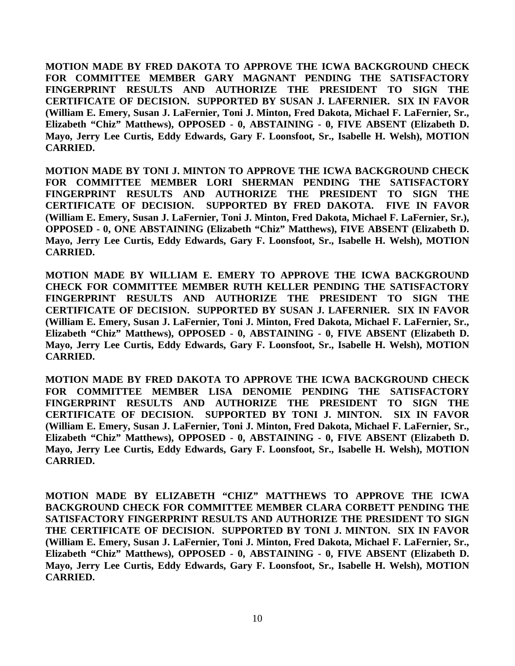**MOTION MADE BY FRED DAKOTA TO APPROVE THE ICWA BACKGROUND CHECK FOR COMMITTEE MEMBER GARY MAGNANT PENDING THE SATISFACTORY FINGERPRINT RESULTS AND AUTHORIZE THE PRESIDENT TO SIGN THE CERTIFICATE OF DECISION. SUPPORTED BY SUSAN J. LAFERNIER. SIX IN FAVOR (William E. Emery, Susan J. LaFernier, Toni J. Minton, Fred Dakota, Michael F. LaFernier, Sr., Elizabeth "Chiz" Matthews), OPPOSED - 0, ABSTAINING - 0, FIVE ABSENT (Elizabeth D. Mayo, Jerry Lee Curtis, Eddy Edwards, Gary F. Loonsfoot, Sr., Isabelle H. Welsh), MOTION CARRIED.**

**MOTION MADE BY TONI J. MINTON TO APPROVE THE ICWA BACKGROUND CHECK FOR COMMITTEE MEMBER LORI SHERMAN PENDING THE SATISFACTORY FINGERPRINT RESULTS AND AUTHORIZE THE PRESIDENT TO SIGN THE CERTIFICATE OF DECISION. SUPPORTED BY FRED DAKOTA. FIVE IN FAVOR (William E. Emery, Susan J. LaFernier, Toni J. Minton, Fred Dakota, Michael F. LaFernier, Sr.), OPPOSED - 0, ONE ABSTAINING (Elizabeth "Chiz" Matthews), FIVE ABSENT (Elizabeth D. Mayo, Jerry Lee Curtis, Eddy Edwards, Gary F. Loonsfoot, Sr., Isabelle H. Welsh), MOTION CARRIED.**

**MOTION MADE BY WILLIAM E. EMERY TO APPROVE THE ICWA BACKGROUND CHECK FOR COMMITTEE MEMBER RUTH KELLER PENDING THE SATISFACTORY FINGERPRINT RESULTS AND AUTHORIZE THE PRESIDENT TO SIGN THE CERTIFICATE OF DECISION. SUPPORTED BY SUSAN J. LAFERNIER. SIX IN FAVOR (William E. Emery, Susan J. LaFernier, Toni J. Minton, Fred Dakota, Michael F. LaFernier, Sr., Elizabeth "Chiz" Matthews), OPPOSED - 0, ABSTAINING - 0, FIVE ABSENT (Elizabeth D. Mayo, Jerry Lee Curtis, Eddy Edwards, Gary F. Loonsfoot, Sr., Isabelle H. Welsh), MOTION CARRIED.**

**MOTION MADE BY FRED DAKOTA TO APPROVE THE ICWA BACKGROUND CHECK FOR COMMITTEE MEMBER LISA DENOMIE PENDING THE SATISFACTORY FINGERPRINT RESULTS AND AUTHORIZE THE PRESIDENT TO SIGN THE CERTIFICATE OF DECISION. SUPPORTED BY TONI J. MINTON. SIX IN FAVOR (William E. Emery, Susan J. LaFernier, Toni J. Minton, Fred Dakota, Michael F. LaFernier, Sr., Elizabeth "Chiz" Matthews), OPPOSED - 0, ABSTAINING - 0, FIVE ABSENT (Elizabeth D. Mayo, Jerry Lee Curtis, Eddy Edwards, Gary F. Loonsfoot, Sr., Isabelle H. Welsh), MOTION CARRIED.**

**MOTION MADE BY ELIZABETH "CHIZ" MATTHEWS TO APPROVE THE ICWA BACKGROUND CHECK FOR COMMITTEE MEMBER CLARA CORBETT PENDING THE SATISFACTORY FINGERPRINT RESULTS AND AUTHORIZE THE PRESIDENT TO SIGN THE CERTIFICATE OF DECISION. SUPPORTED BY TONI J. MINTON. SIX IN FAVOR (William E. Emery, Susan J. LaFernier, Toni J. Minton, Fred Dakota, Michael F. LaFernier, Sr., Elizabeth "Chiz" Matthews), OPPOSED - 0, ABSTAINING - 0, FIVE ABSENT (Elizabeth D. Mayo, Jerry Lee Curtis, Eddy Edwards, Gary F. Loonsfoot, Sr., Isabelle H. Welsh), MOTION CARRIED.**